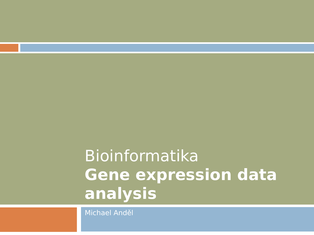### Bioinformatika **Gene expression data analysis**

Michael Anděl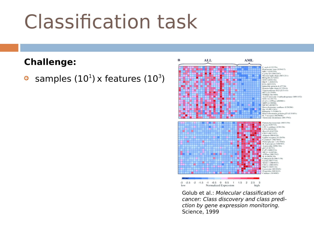#### **Challenge:**

**•** samples  $(10^1)$  x features  $(10^3)$ 

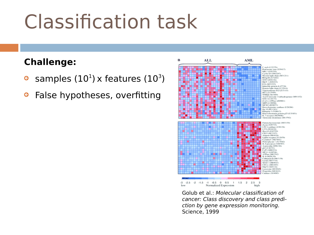#### **Challenge:**

- **•** samples  $(10^1)$  x features  $(10^3)$
- **•** False hypotheses, overfitting

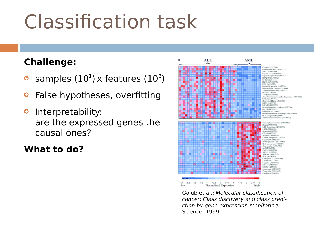#### **Challenge:**

- **•** samples  $(10^1)$  x features  $(10^3)$
- *G* False hypotheses, overfitting
- **a** Interpretability: are the expressed genes the causal ones?

#### **What to do?**

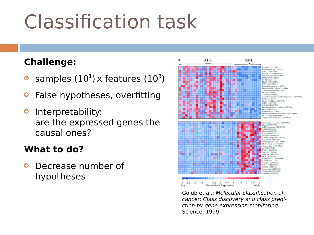#### **Challenge:**

- **•** samples  $(10^1)$  x features  $(10^3)$
- *G* False hypotheses, overfitting
- **a** Interpretability: are the expressed genes the causal ones?

#### **What to do?**

**B** Decrease number of hypotheses

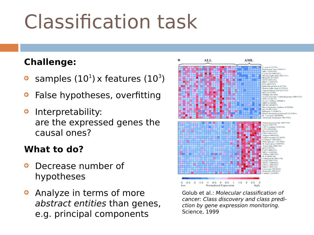#### **Challenge:**

- **•** samples  $(10^1)$  x features  $(10^3)$
- **•** False hypotheses, overfitting
- **a** Interpretability: are the expressed genes the causal ones?

#### **What to do?**

- **C** Decrease number of hypotheses
- **Analyze in terms of more** abstract entities than genes, e.g. principal components

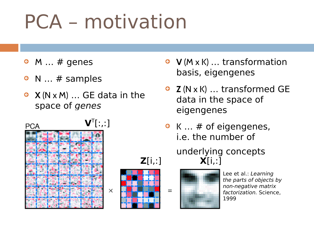# PCA – motivation

- $\bullet$  M ... # genes
- $\bullet$  N  $\ldots$  # samples
- **X** (N x M) … GE data in the space of genes





 $=$ 



- **V** (M x K) … transformation basis, eigengenes
- **Z** (N x K) … transformed GE data in the space of eigengenes
- $\bullet$  K  $\ldots$  # of eigengenes, i.e. the number of

#### underlying concepts **Z**[i,:] **X**[i,:]



Lee et al.: Learning the parts of objects by non-negative matrix factorization. Science, 1999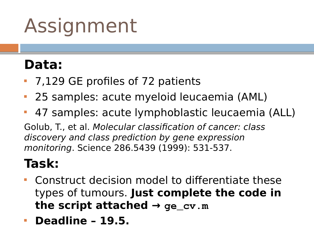### **Data:**

- 7,129 GE profiles of 72 patients
- 25 samples: acute myeloid leucaemia (AML)
- 47 samples: acute lymphoblastic leucaemia (ALL)

Golub, T., et al. Molecular classification of cancer: class discovery and class prediction by gene expression monitoring. Science 286.5439 (1999): 531-537.

### **Task:**

- Construct decision model to differentiate these types of tumours. **Just complete the code in**  the script attached  $\rightarrow$   $qe_{cv.m}$
- **Deadline 19.5.**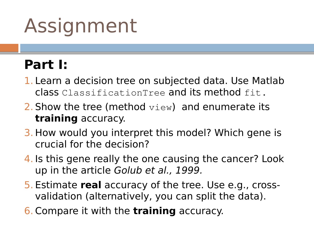### **Part I:**

- 1. Learn a decision tree on subjected data. Use Matlab class ClassificationTree and its method fit.
- 2. Show the tree (method  $\text{view}$ ) and enumerate its **training** accuracy.
- 3. How would you interpret this model? Which gene is crucial for the decision?
- 4. Is this gene really the one causing the cancer? Look up in the article Golub et al., 1999.
- 5. Estimate **real** accuracy of the tree. Use e.g., crossvalidation (alternatively, you can split the data).
- 6. Compare it with the **training** accuracy.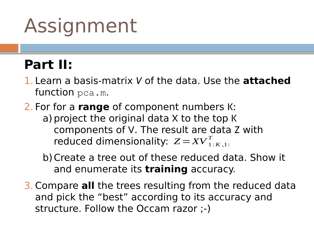### **Part II:**

- 1. Learn a basis-matrix *V* of the data. Use the **attached** function pca.m.
- 2. For for a **range** of component numbers K: a) project the original data X to the top K components of V. The result are data Z with reduced dimensionality:  $Z = XV_{1:K,1:K}^{T}$ 
	- b)Create a tree out of these reduced data. Show it and enumerate its **training** accuracy.
- 3. Compare **all** the trees resulting from the reduced data and pick the "best" according to its accuracy and structure. Follow the Occam razor ;-)